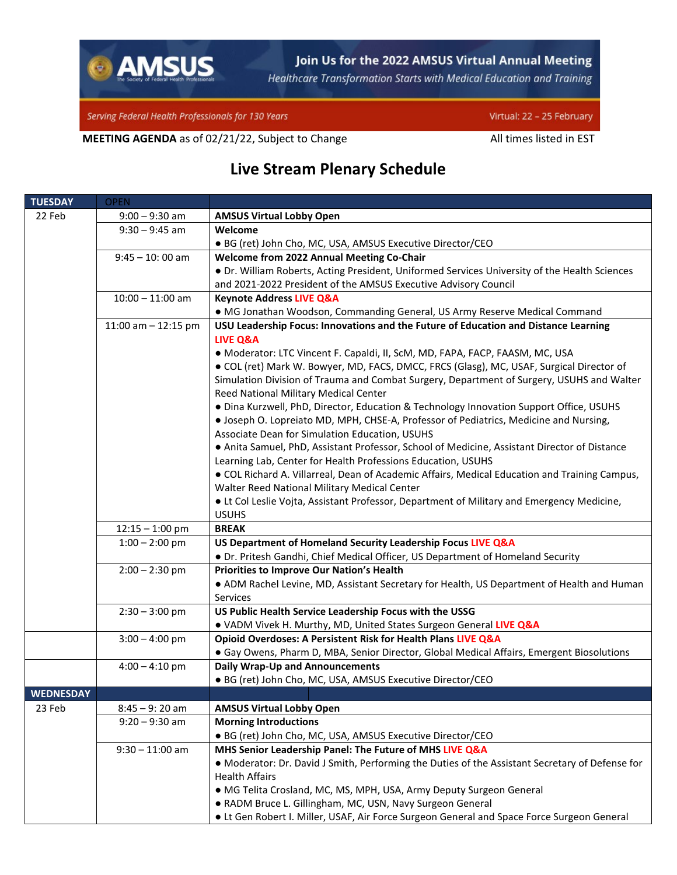

Join Us for the 2022 AMSUS Virtual Annual Meeting

Healthcare Transformation Starts with Medical Education and Training

Serving Federal Health Professionals for 130 Years

Virtual: 22 - 25 February

**MEETING AGENDA** as of 02/21/22, Subject to Change All times listed in EST

## **Live Stream Plenary Schedule**

| <b>TUESDAY</b>   | <b>OPEN</b>           |                                                                                                 |
|------------------|-----------------------|-------------------------------------------------------------------------------------------------|
| 22 Feb           | $9:00 - 9:30$ am      | <b>AMSUS Virtual Lobby Open</b>                                                                 |
|                  | $9:30 - 9:45$ am      | Welcome                                                                                         |
|                  |                       | · BG (ret) John Cho, MC, USA, AMSUS Executive Director/CEO                                      |
|                  | $9:45 - 10:00$ am     | Welcome from 2022 Annual Meeting Co-Chair                                                       |
|                  |                       | • Dr. William Roberts, Acting President, Uniformed Services University of the Health Sciences   |
|                  |                       | and 2021-2022 President of the AMSUS Executive Advisory Council                                 |
|                  | $10:00 - 11:00$ am    | <b>Keynote Address LIVE Q&amp;A</b>                                                             |
|                  |                       | • MG Jonathan Woodson, Commanding General, US Army Reserve Medical Command                      |
|                  | 11:00 am $-$ 12:15 pm | USU Leadership Focus: Innovations and the Future of Education and Distance Learning             |
|                  |                       | <b>LIVE Q&amp;A</b>                                                                             |
|                  |                       | · Moderator: LTC Vincent F. Capaldi, II, ScM, MD, FAPA, FACP, FAASM, MC, USA                    |
|                  |                       | · COL (ret) Mark W. Bowyer, MD, FACS, DMCC, FRCS (Glasg), MC, USAF, Surgical Director of        |
|                  |                       | Simulation Division of Trauma and Combat Surgery, Department of Surgery, USUHS and Walter       |
|                  |                       | Reed National Military Medical Center                                                           |
|                  |                       | . Dina Kurzwell, PhD, Director, Education & Technology Innovation Support Office, USUHS         |
|                  |                       | . Joseph O. Lopreiato MD, MPH, CHSE-A, Professor of Pediatrics, Medicine and Nursing,           |
|                  |                       | Associate Dean for Simulation Education, USUHS                                                  |
|                  |                       | • Anita Samuel, PhD, Assistant Professor, School of Medicine, Assistant Director of Distance    |
|                  |                       | Learning Lab, Center for Health Professions Education, USUHS                                    |
|                  |                       | . COL Richard A. Villarreal, Dean of Academic Affairs, Medical Education and Training Campus,   |
|                  |                       | Walter Reed National Military Medical Center                                                    |
|                  |                       | . Lt Col Leslie Vojta, Assistant Professor, Department of Military and Emergency Medicine,      |
|                  |                       | <b>USUHS</b>                                                                                    |
|                  | $12:15 - 1:00$ pm     | <b>BREAK</b>                                                                                    |
|                  | $1:00 - 2:00$ pm      | US Department of Homeland Security Leadership Focus LIVE Q&A                                    |
|                  |                       | • Dr. Pritesh Gandhi, Chief Medical Officer, US Department of Homeland Security                 |
|                  | $2:00 - 2:30$ pm      | Priorities to Improve Our Nation's Health                                                       |
|                  |                       | . ADM Rachel Levine, MD, Assistant Secretary for Health, US Department of Health and Human      |
|                  |                       | Services                                                                                        |
|                  | $2:30 - 3:00$ pm      | US Public Health Service Leadership Focus with the USSG                                         |
|                  |                       | . VADM Vivek H. Murthy, MD, United States Surgeon General LIVE Q&A                              |
|                  | $3:00 - 4:00$ pm      | Opioid Overdoses: A Persistent Risk for Health Plans LIVE Q&A                                   |
|                  |                       | • Gay Owens, Pharm D, MBA, Senior Director, Global Medical Affairs, Emergent Biosolutions       |
|                  | $4:00 - 4:10$ pm      | <b>Daily Wrap-Up and Announcements</b>                                                          |
|                  |                       | · BG (ret) John Cho, MC, USA, AMSUS Executive Director/CEO                                      |
| <b>WEDNESDAY</b> |                       |                                                                                                 |
| 23 Feb           | $8:45 - 9:20$ am      | <b>AMSUS Virtual Lobby Open</b>                                                                 |
|                  | $9:20 - 9:30$ am      | <b>Morning Introductions</b>                                                                    |
|                  |                       | · BG (ret) John Cho, MC, USA, AMSUS Executive Director/CEO                                      |
|                  | $9:30 - 11:00$ am     | MHS Senior Leadership Panel: The Future of MHS LIVE Q&A                                         |
|                  |                       | • Moderator: Dr. David J Smith, Performing the Duties of the Assistant Secretary of Defense for |
|                  |                       | <b>Health Affairs</b>                                                                           |
|                  |                       | • MG Telita Crosland, MC, MS, MPH, USA, Army Deputy Surgeon General                             |
|                  |                       | • RADM Bruce L. Gillingham, MC, USN, Navy Surgeon General                                       |
|                  |                       | • Lt Gen Robert I. Miller, USAF, Air Force Surgeon General and Space Force Surgeon General      |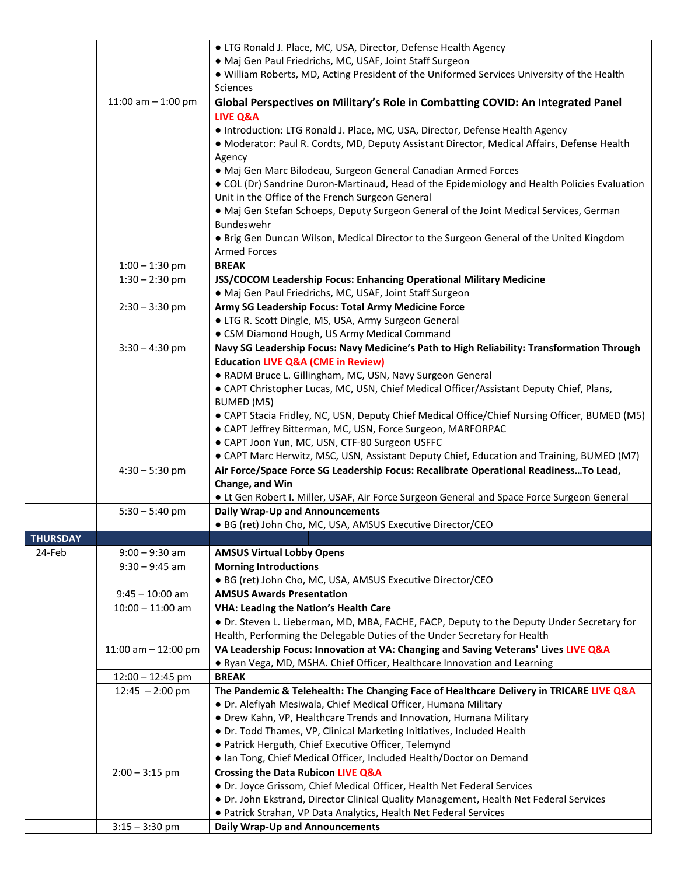|                 |                                      | · LTG Ronald J. Place, MC, USA, Director, Defense Health Agency                                |
|-----------------|--------------------------------------|------------------------------------------------------------------------------------------------|
|                 |                                      | · Maj Gen Paul Friedrichs, MC, USAF, Joint Staff Surgeon                                       |
|                 |                                      | . William Roberts, MD, Acting President of the Uniformed Services University of the Health     |
|                 |                                      | Sciences                                                                                       |
|                 | 11:00 am $-$ 1:00 pm                 | Global Perspectives on Military's Role in Combatting COVID: An Integrated Panel                |
|                 |                                      | <b>LIVE Q&amp;A</b>                                                                            |
|                 |                                      | · Introduction: LTG Ronald J. Place, MC, USA, Director, Defense Health Agency                  |
|                 |                                      | · Moderator: Paul R. Cordts, MD, Deputy Assistant Director, Medical Affairs, Defense Health    |
|                 |                                      | Agency                                                                                         |
|                 |                                      | · Maj Gen Marc Bilodeau, Surgeon General Canadian Armed Forces                                 |
|                 |                                      | . COL (Dr) Sandrine Duron-Martinaud, Head of the Epidemiology and Health Policies Evaluation   |
|                 |                                      | Unit in the Office of the French Surgeon General                                               |
|                 |                                      | . Maj Gen Stefan Schoeps, Deputy Surgeon General of the Joint Medical Services, German         |
|                 |                                      | Bundeswehr                                                                                     |
|                 |                                      | . Brig Gen Duncan Wilson, Medical Director to the Surgeon General of the United Kingdom        |
|                 |                                      | <b>Armed Forces</b>                                                                            |
|                 | $1:00 - 1:30$ pm                     | <b>BREAK</b>                                                                                   |
|                 | $1:30 - 2:30$ pm                     | JSS/COCOM Leadership Focus: Enhancing Operational Military Medicine                            |
|                 |                                      | · Maj Gen Paul Friedrichs, MC, USAF, Joint Staff Surgeon                                       |
|                 | $2:30 - 3:30$ pm                     | Army SG Leadership Focus: Total Army Medicine Force                                            |
|                 |                                      | • LTG R. Scott Dingle, MS, USA, Army Surgeon General                                           |
|                 |                                      | • CSM Diamond Hough, US Army Medical Command                                                   |
|                 | $3:30 - 4:30$ pm                     | Navy SG Leadership Focus: Navy Medicine's Path to High Reliability: Transformation Through     |
|                 |                                      | <b>Education LIVE Q&amp;A (CME in Review)</b>                                                  |
|                 |                                      | • RADM Bruce L. Gillingham, MC, USN, Navy Surgeon General                                      |
|                 |                                      | • CAPT Christopher Lucas, MC, USN, Chief Medical Officer/Assistant Deputy Chief, Plans,        |
|                 |                                      | BUMED (M5)                                                                                     |
|                 |                                      | • CAPT Stacia Fridley, NC, USN, Deputy Chief Medical Office/Chief Nursing Officer, BUMED (M5)  |
|                 |                                      | • CAPT Jeffrey Bitterman, MC, USN, Force Surgeon, MARFORPAC                                    |
|                 |                                      | · CAPT Joon Yun, MC, USN, CTF-80 Surgeon USFFC                                                 |
|                 |                                      | • CAPT Marc Herwitz, MSC, USN, Assistant Deputy Chief, Education and Training, BUMED (M7)      |
|                 | $4:30 - 5:30$ pm                     | Air Force/Space Force SG Leadership Focus: Recalibrate Operational Readiness To Lead,          |
|                 |                                      | Change, and Win                                                                                |
|                 |                                      | . Lt Gen Robert I. Miller, USAF, Air Force Surgeon General and Space Force Surgeon General     |
|                 | $5:30 - 5:40$ pm                     | Daily Wrap-Up and Announcements                                                                |
|                 |                                      | · BG (ret) John Cho, MC, USA, AMSUS Executive Director/CEO                                     |
| <b>THURSDAY</b> |                                      |                                                                                                |
| 24-Feb          | $9:00 - 9:30$ am<br>$9:30 - 9:45$ am | <b>AMSUS Virtual Lobby Opens</b><br><b>Morning Introductions</b>                               |
|                 |                                      |                                                                                                |
|                 | $9:45 - 10:00$ am                    | • BG (ret) John Cho, MC, USA, AMSUS Executive Director/CEO<br><b>AMSUS Awards Presentation</b> |
|                 | $10:00 - 11:00$ am                   | <b>VHA: Leading the Nation's Health Care</b>                                                   |
|                 |                                      | · Dr. Steven L. Lieberman, MD, MBA, FACHE, FACP, Deputy to the Deputy Under Secretary for      |
|                 |                                      | Health, Performing the Delegable Duties of the Under Secretary for Health                      |
|                 | 11:00 am $-$ 12:00 pm                | VA Leadership Focus: Innovation at VA: Changing and Saving Veterans' Lives LIVE Q&A            |
|                 |                                      | . Ryan Vega, MD, MSHA. Chief Officer, Healthcare Innovation and Learning                       |
|                 | $12:00 - 12:45$ pm                   | <b>BREAK</b>                                                                                   |
|                 | $12:45 - 2:00$ pm                    | The Pandemic & Telehealth: The Changing Face of Healthcare Delivery in TRICARE LIVE Q&A        |
|                 |                                      | · Dr. Alefiyah Mesiwala, Chief Medical Officer, Humana Military                                |
|                 |                                      | • Drew Kahn, VP, Healthcare Trends and Innovation, Humana Military                             |
|                 |                                      | · Dr. Todd Thames, VP, Clinical Marketing Initiatives, Included Health                         |
|                 |                                      | · Patrick Herguth, Chief Executive Officer, Telemynd                                           |
|                 |                                      | · Ian Tong, Chief Medical Officer, Included Health/Doctor on Demand                            |
|                 | $2:00 - 3:15$ pm                     | <b>Crossing the Data Rubicon LIVE Q&amp;A</b>                                                  |
|                 |                                      | • Dr. Joyce Grissom, Chief Medical Officer, Health Net Federal Services                        |
|                 |                                      | • Dr. John Ekstrand, Director Clinical Quality Management, Health Net Federal Services         |
|                 |                                      | · Patrick Strahan, VP Data Analytics, Health Net Federal Services                              |
|                 | $3:15 - 3:30$ pm                     | Daily Wrap-Up and Announcements                                                                |